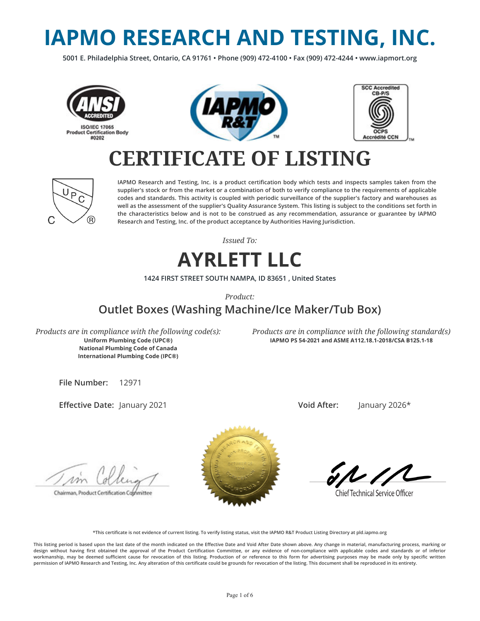# **IAPMO RESEARCH AND TESTING, INC.**

**5001 E. Philadelphia Street, Ontario, CA 91761 • Phone (909) 472-4100 • Fax (909) 472-4244 • www.iapmort.org**







## **CERTIFICATE OF LISTING**



**IAPMO Research and Testing, Inc. is a product certication body which tests and inspects samples taken from the supplier's stock or from the market or a combination of both to verify compliance to the requirements of applicable codes and standards. This activity is coupled with periodic surveillance of the supplier's factory and warehouses as well as the assessment of the supplier's Quality Assurance System. This listing is subject to the conditions set forth in the characteristics below and is not to be construed as any recommendation, assurance or guarantee by IAPMO Research and Testing, Inc. of the product acceptance by Authorities Having Jurisdiction.**

*Issued To:*

#### **AYRLETT LLC**

**1424 FIRST STREET SOUTH NAMPA, ID 83651 , United States**

*Product:*

#### **Outlet Boxes (Washing Machine/Ice Maker/Tub Box)**

*Products are in compliance with the following code(s):* **Uniform Plumbing Code (UPC®) National Plumbing Code of Canada International Plumbing Code (IPC®)**

*Products are in compliance with the following standard(s)* **IAPMO PS 54-2021 and ASME A112.18.1-2018/CSA B125.1-18**

**File Number:** 12971

**Effective Date: January 2021** 

**Void After:** January 2026\*

Chairman, Product Certification Cophmittee



**Chief Technical Service Officer** 

**\*This certicate is not evidence of current listing. To verify listing status, visit the IAPMO R&T Product Listing Directory at pld.iapmo.org**

This listing period is based upon the last date of the month indicated on the Effective Date and Void After Date shown above. Any change in material, manufacturing process, marking or design without having first obtained the approval of the Product Certification Committee, or any evidence of non-compliance with applicable codes and standards or of inferior workmanship, may be deemed sufficient cause for revocation of this listing. Production of or reference to this form for advertising purposes may be made only by specific written **permission of IAPMO Research and Testing, Inc. Any alteration of this certicate could be grounds for revocation of the listing. This document shall be reproduced in its entirety.**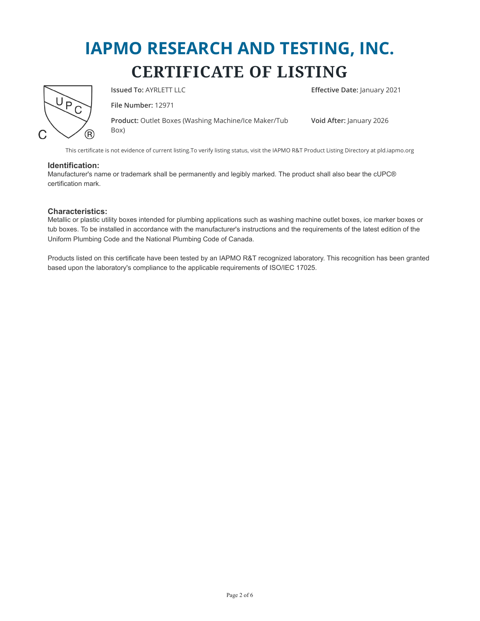

**Issued To:** AYRLETT LLC **Example 2021 Effective Date:** January 2021

**File Number:** 12971

**Product:** Outlet Boxes (Washing Machine/Ice Maker/Tub Box)

**Void After:** January 2026

This certificate is not evidence of current listing.To verify listing status, visit the IAPMO R&T Product Listing Directory at pld.iapmo.org

#### **Identification:**

Manufacturer's name or trademark shall be permanently and legibly marked. The product shall also bear the cUPC® certification mark.

#### **Characteristics:**

Metallic or plastic utility boxes intended for plumbing applications such as washing machine outlet boxes, ice marker boxes or tub boxes. To be installed in accordance with the manufacturer's instructions and the requirements of the latest edition of the Uniform Plumbing Code and the National Plumbing Code of Canada.

Products listed on this certificate have been tested by an IAPMO R&T recognized laboratory. This recognition has been granted based upon the laboratory's compliance to the applicable requirements of ISO/IEC 17025.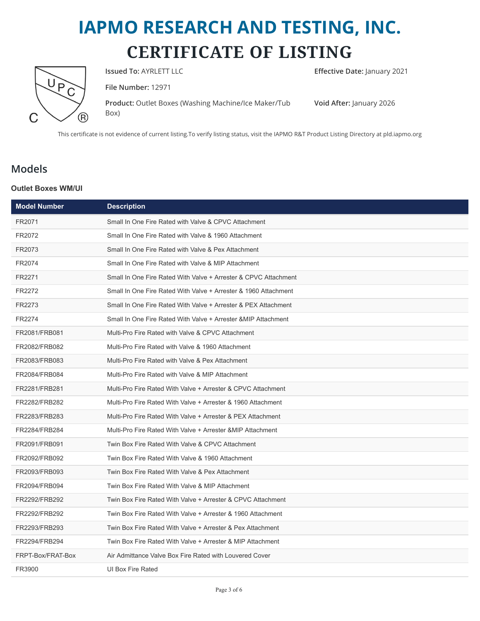

**Issued To:** AYRLETT LLC **Effective Date:** January 2021

**File Number:** 12971

**Product:** Outlet Boxes (Washing Machine/Ice Maker/Tub Box)

**Void After:** January 2026

This certificate is not evidence of current listing.To verify listing status, visit the IAPMO R&T Product Listing Directory at pld.iapmo.org

#### **Models**

#### **Outlet Boxes WM/UI**

| <b>Model Number</b> | <b>Description</b>                                              |
|---------------------|-----------------------------------------------------------------|
| FR2071              | Small In One Fire Rated with Valve & CPVC Attachment            |
| FR2072              | Small In One Fire Rated with Valve & 1960 Attachment            |
| FR2073              | Small In One Fire Rated with Valve & Pex Attachment             |
| FR2074              | Small In One Fire Rated with Valve & MIP Attachment             |
| FR2271              | Small In One Fire Rated With Valve + Arrester & CPVC Attachment |
| FR2272              | Small In One Fire Rated With Valve + Arrester & 1960 Attachment |
| FR2273              | Small In One Fire Rated With Valve + Arrester & PEX Attachment  |
| FR2274              | Small In One Fire Rated With Valve + Arrester & MIP Attachment  |
| FR2081/FRB081       | Multi-Pro Fire Rated with Valve & CPVC Attachment               |
| FR2082/FRB082       | Multi-Pro Fire Rated with Valve & 1960 Attachment               |
| FR2083/FRB083       | Multi-Pro Fire Rated with Valve & Pex Attachment                |
| FR2084/FRB084       | Multi-Pro Fire Rated with Valve & MIP Attachment                |
| FR2281/FRB281       | Multi-Pro Fire Rated With Valve + Arrester & CPVC Attachment    |
| FR2282/FRB282       | Multi-Pro Fire Rated With Valve + Arrester & 1960 Attachment    |
| FR2283/FRB283       | Multi-Pro Fire Rated With Valve + Arrester & PEX Attachment     |
| FR2284/FRB284       | Multi-Pro Fire Rated With Valve + Arrester & MIP Attachment     |
| FR2091/FRB091       | Twin Box Fire Rated With Valve & CPVC Attachment                |
| FR2092/FRB092       | Twin Box Fire Rated With Valve & 1960 Attachment                |
| FR2093/FRB093       | Twin Box Fire Rated With Valve & Pex Attachment                 |
| FR2094/FRB094       | Twin Box Fire Rated With Valve & MIP Attachment                 |
| FR2292/FRB292       | Twin Box Fire Rated With Valve + Arrester & CPVC Attachment     |
| FR2292/FRB292       | Twin Box Fire Rated With Valve + Arrester & 1960 Attachment     |
| FR2293/FRB293       | Twin Box Fire Rated With Valve + Arrester & Pex Attachment      |
| FR2294/FRB294       | Twin Box Fire Rated With Valve + Arrester & MIP Attachment      |
| FRPT-Box/FRAT-Box   | Air Admittance Valve Box Fire Rated with Louvered Cover         |
| FR3900              | UI Box Fire Rated                                               |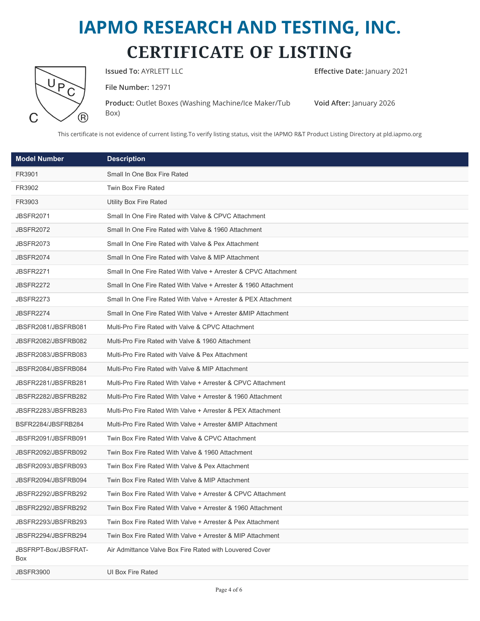|  | <u>බ</u> |
|--|----------|

**Issued To:** AYRLETT LLC **Effective Date:** January 2021

**File Number:** 12971

**Product:** Outlet Boxes (Washing Machine/Ice Maker/Tub Box)

**Void After:** January 2026

This certificate is not evidence of current listing.To verify listing status, visit the IAPMO R&T Product Listing Directory at pld.iapmo.org

| <b>Model Number</b>         | <b>Description</b>                                              |
|-----------------------------|-----------------------------------------------------------------|
| FR3901                      | Small In One Box Fire Rated                                     |
| FR3902                      | Twin Box Fire Rated                                             |
| FR3903                      | Utility Box Fire Rated                                          |
| <b>JBSFR2071</b>            | Small In One Fire Rated with Valve & CPVC Attachment            |
| <b>JBSFR2072</b>            | Small In One Fire Rated with Valve & 1960 Attachment            |
| <b>JBSFR2073</b>            | Small In One Fire Rated with Valve & Pex Attachment             |
| <b>JBSFR2074</b>            | Small In One Fire Rated with Valve & MIP Attachment             |
| <b>JBSFR2271</b>            | Small In One Fire Rated With Valve + Arrester & CPVC Attachment |
| <b>JBSFR2272</b>            | Small In One Fire Rated With Valve + Arrester & 1960 Attachment |
| <b>JBSFR2273</b>            | Small In One Fire Rated With Valve + Arrester & PEX Attachment  |
| <b>JBSFR2274</b>            | Small In One Fire Rated With Valve + Arrester & MIP Attachment  |
| JBSFR2081/JBSFRB081         | Multi-Pro Fire Rated with Valve & CPVC Attachment               |
| JBSFR2082/JBSFRB082         | Multi-Pro Fire Rated with Valve & 1960 Attachment               |
| JBSFR2083/JBSFRB083         | Multi-Pro Fire Rated with Valve & Pex Attachment                |
| JBSFR2084/JBSFRB084         | Multi-Pro Fire Rated with Valve & MIP Attachment                |
| JBSFR2281/JBSFRB281         | Multi-Pro Fire Rated With Valve + Arrester & CPVC Attachment    |
| JBSFR2282/JBSFRB282         | Multi-Pro Fire Rated With Valve + Arrester & 1960 Attachment    |
| JBSFR2283/JBSFRB283         | Multi-Pro Fire Rated With Valve + Arrester & PEX Attachment     |
| BSFR2284/JBSFRB284          | Multi-Pro Fire Rated With Valve + Arrester & MIP Attachment     |
| JBSFR2091/JBSFRB091         | Twin Box Fire Rated With Valve & CPVC Attachment                |
| JBSFR2092/JBSFRB092         | Twin Box Fire Rated With Valve & 1960 Attachment                |
| JBSFR2093/JBSFRB093         | Twin Box Fire Rated With Valve & Pex Attachment                 |
| JBSFR2094/JBSFRB094         | Twin Box Fire Rated With Valve & MIP Attachment                 |
| JBSFR2292/JBSFRB292         | Twin Box Fire Rated With Valve + Arrester & CPVC Attachment     |
| JBSFR2292/JBSFRB292         | Twin Box Fire Rated With Valve + Arrester & 1960 Attachment     |
| JBSFR2293/JBSFRB293         | Twin Box Fire Rated With Valve + Arrester & Pex Attachment      |
| JBSFR2294/JBSFRB294         | Twin Box Fire Rated With Valve + Arrester & MIP Attachment      |
| JBSFRPT-Box/JBSFRAT-<br>Box | Air Admittance Valve Box Fire Rated with Louvered Cover         |
| <b>JBSFR3900</b>            | UI Box Fire Rated                                               |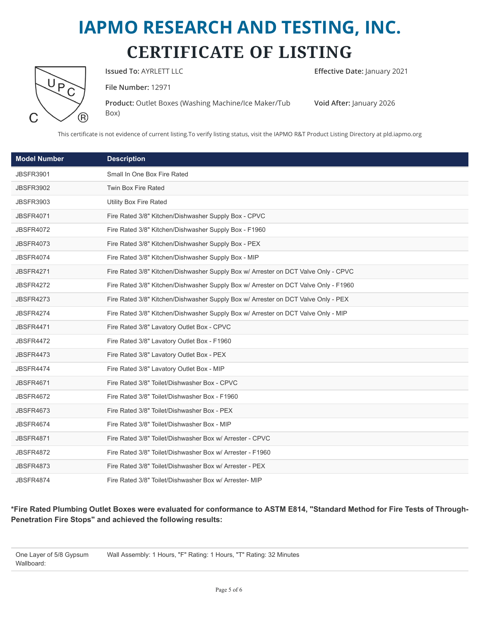**Issued To:** AYRLETT LLC **Example 2021 Effective Date:** January 2021

**File Number:** 12971

**Product:** Outlet Boxes (Washing Machine/Ice Maker/Tub Box)

**Void After:** January 2026

This certificate is not evidence of current listing.To verify listing status, visit the IAPMO R&T Product Listing Directory at pld.iapmo.org

| <b>Model Number</b> | <b>Description</b>                                                                  |
|---------------------|-------------------------------------------------------------------------------------|
| <b>JBSFR3901</b>    | Small In One Box Fire Rated                                                         |
| <b>JBSFR3902</b>    | <b>Twin Box Fire Rated</b>                                                          |
| <b>JBSFR3903</b>    | <b>Utility Box Fire Rated</b>                                                       |
| <b>JBSFR4071</b>    | Fire Rated 3/8" Kitchen/Dishwasher Supply Box - CPVC                                |
| <b>JBSFR4072</b>    | Fire Rated 3/8" Kitchen/Dishwasher Supply Box - F1960                               |
| <b>JBSFR4073</b>    | Fire Rated 3/8" Kitchen/Dishwasher Supply Box - PEX                                 |
| <b>JBSFR4074</b>    | Fire Rated 3/8" Kitchen/Dishwasher Supply Box - MIP                                 |
| <b>JBSFR4271</b>    | Fire Rated 3/8" Kitchen/Dishwasher Supply Box w/ Arrester on DCT Valve Only - CPVC  |
| <b>JBSFR4272</b>    | Fire Rated 3/8" Kitchen/Dishwasher Supply Box w/ Arrester on DCT Valve Only - F1960 |
| <b>JBSFR4273</b>    | Fire Rated 3/8" Kitchen/Dishwasher Supply Box w/ Arrester on DCT Valve Only - PEX   |
| <b>JBSFR4274</b>    | Fire Rated 3/8" Kitchen/Dishwasher Supply Box w/ Arrester on DCT Valve Only - MIP   |
| <b>JBSFR4471</b>    | Fire Rated 3/8" Lavatory Outlet Box - CPVC                                          |
| <b>JBSFR4472</b>    | Fire Rated 3/8" Lavatory Outlet Box - F1960                                         |
| <b>JBSFR4473</b>    | Fire Rated 3/8" Lavatory Outlet Box - PEX                                           |
| <b>JBSFR4474</b>    | Fire Rated 3/8" Lavatory Outlet Box - MIP                                           |
| <b>JBSFR4671</b>    | Fire Rated 3/8" Toilet/Dishwasher Box - CPVC                                        |
| <b>JBSFR4672</b>    | Fire Rated 3/8" Toilet/Dishwasher Box - F1960                                       |
| <b>JBSFR4673</b>    | Fire Rated 3/8" Toilet/Dishwasher Box - PEX                                         |
| <b>JBSFR4674</b>    | Fire Rated 3/8" Toilet/Dishwasher Box - MIP                                         |
| <b>JBSFR4871</b>    | Fire Rated 3/8" Toilet/Dishwasher Box w/ Arrester - CPVC                            |
| <b>JBSFR4872</b>    | Fire Rated 3/8" Toilet/Dishwasher Box w/ Arrester - F1960                           |
| <b>JBSFR4873</b>    | Fire Rated 3/8" Toilet/Dishwasher Box w/ Arrester - PEX                             |
| <b>JBSFR4874</b>    | Fire Rated 3/8" Toilet/Dishwasher Box w/ Arrester- MIP                              |

**\*Fire Rated Plumbing Outlet Boxes were evaluated for conformance to ASTM E814, "Standard Method for Fire Tests of Through-Penetration Fire Stops" and achieved the following results:**

One Layer of 5/8 Gypsum Wallboard: Wall Assembly: 1 Hours, "F" Rating: 1 Hours, "T" Rating: 32 Minutes